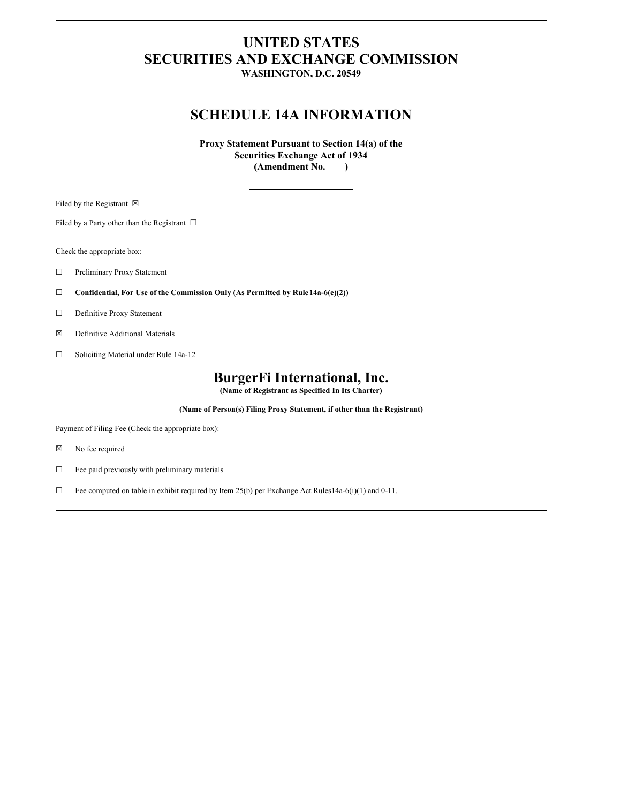# **UNITED STATES SECURITIES AND EXCHANGE COMMISSION**

**WASHINGTON, D.C. 20549**

### **SCHEDULE 14A INFORMATION**

**Proxy Statement Pursuant to Section 14(a) of the Securities Exchange Act of 1934 (Amendment No. )**

Filed by the Registrant  $\boxtimes$ 

Filed by a Party other than the Registrant  $□$ 

Check the appropriate box:

- ☐ Preliminary Proxy Statement
- ☐ **Confidential, For Use of the Commission Only (As Permitted by Rule14a-6(e)(2))**
- ☐ Definitive Proxy Statement
- ☒ Definitive Additional Materials
- ☐ Soliciting Material under Rule 14a-12

## **BurgerFi International, Inc.**

**(Name of Registrant as Specified In Its Charter)**

**(Name of Person(s) Filing Proxy Statement, if other than the Registrant)**

Payment of Filing Fee (Check the appropriate box):

- ☒ No fee required
- ☐ Fee paid previously with preliminary materials
- ☐ Fee computed on table in exhibit required by Item 25(b) per Exchange Act Rules14a-6(i)(1) and 0-11.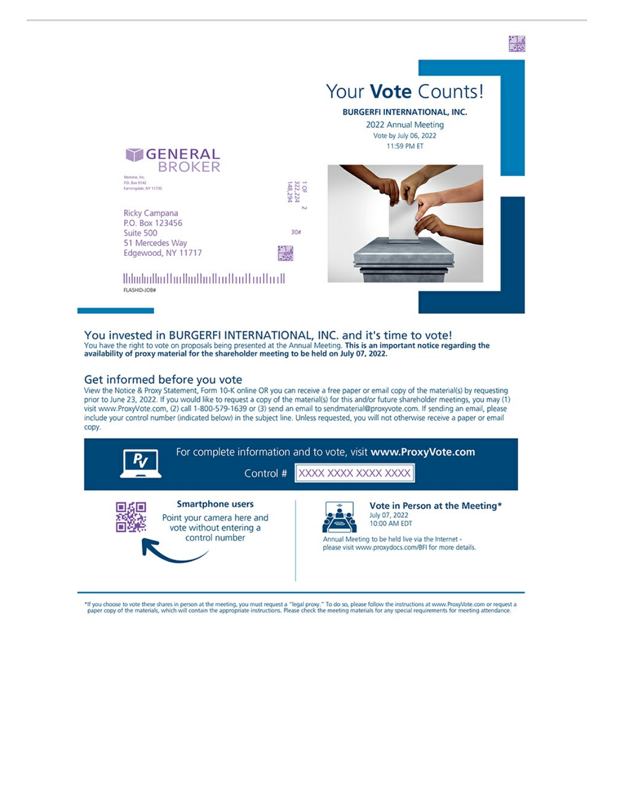

You invested in BURGERFI INTERNATIONAL, INC. and it's time to vote! You have the right to vote on proposals being presented at the Annual Meeting. This is an important notice regarding the availability of proxy material for the shareholder meeting to be held on July 07, 2022.

#### Get informed before you vote

View the Notice & Proxy Statement, Form 10-K online OR you can receive a free paper or email copy of the material(s) by requesting prior to June 23, 2022. If you would like to request a copy of the material(s) for this and/or future shareholder meetings, you may (1) visit www.ProxyVote.com, (2) call 1-800-579-1639 or (3) send an email to sendmaterial@proxyvote.com. If sending an email, please include your control number (indicated below) in the subject line. Unless requested, you will not otherwise receive a paper or email copy.



"If you choose to vote these shares in person at the meeting, you must request a "legal proxy." To do so, please follow the instructions at www.ProxyVote.com or request a paper copy of the materials, which will contain the